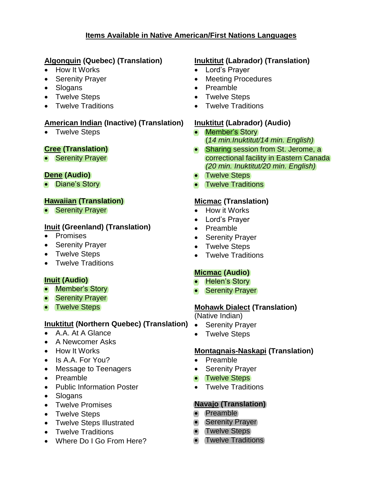## **Items Available in Native American/First Nations Languages**

## **Algonquin (Quebec) (Translation)**

- How It Works
- Serenity Prayer
- Slogans
- Twelve Steps
- Twelve Traditions

### **American Indian (Inactive) (Translation)**

• Twelve Steps

### **Cree (Translation)**

• Serenity Prayer

### **Dene (Audio)**

• Diane's Story

## **Hawaiian (Translation)**

• Serenity Prayer

## **Inuit (Greenland) (Translation)**

- Promises
- Serenity Prayer
- Twelve Steps
- Twelve Traditions

# **Inuit (Audio)**

- Member's Story
- Serenity Prayer
- Twelve Steps

## **Inuktitut (Northern Quebec) (Translation)**

- A.A. At A Glance
- A Newcomer Asks
- How It Works
- $\bullet$  Is A.A. For You?
- Message to Teenagers
- Preamble
- Public Information Poster
- Slogans
- Twelve Promises
- Twelve Steps
- Twelve Steps Illustrated
- Twelve Traditions
- Where Do I Go From Here?

# **Inuktitut (Labrador) (Translation)**

- Lord's Prayer
- Meeting Procedures
- Preamble
- Twelve Steps
- Twelve Traditions

## **Inuktitut (Labrador) (Audio)**

- Member's Story (*14 min.Inuktitut/14 min. English)*
- Sharing session from St. Jerome, a correctional facility in Eastern Canada *(20 min. Inuktitut/20 min. English)*
- Twelve Steps
- Twelve Traditions

## **Micmac (Translation)**

- How it Works
- Lord's Prayer
- Preamble
- Serenity Prayer
- Twelve Steps
- Twelve Traditions

# **Micmac (Audio)**

- Helen's Story
- Serenity Prayer

## **Mohawk Dialect (Translation)**

(Native Indian)

- Serenity Prayer
- Twelve Steps

## **Montagnais-Naskapi (Translation)**

- Preamble
- Serenity Prayer
- Twelve Steps
- Twelve Traditions

# **Navajo (Translation)**

- Preamble
- Serenity Prayer
- Twelve Steps
- Twelve Traditions